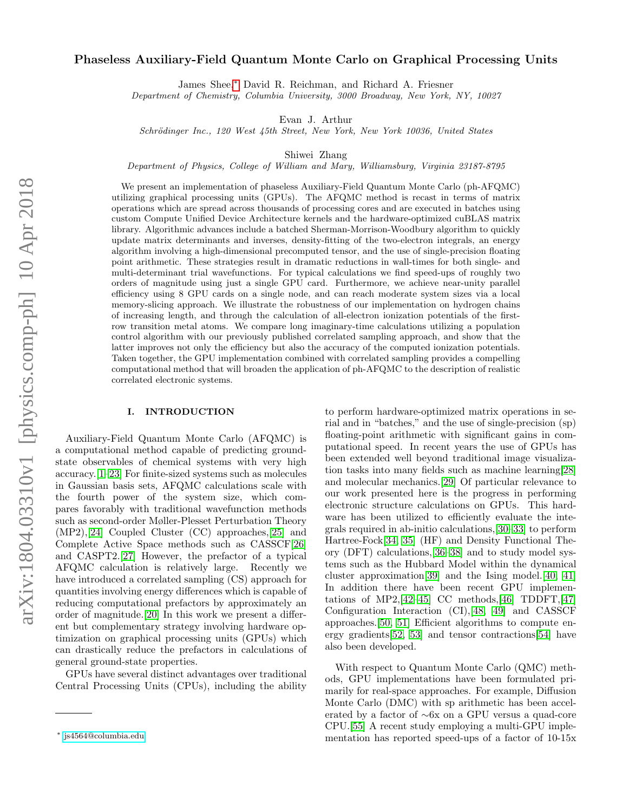# Phaseless Auxiliary-Field Quantum Monte Carlo on Graphical Processing Units

James Shee,[∗](#page-0-0) David R. Reichman, and Richard A. Friesner

Department of Chemistry, Columbia University, 3000 Broadway, New York, NY, 10027

Evan J. Arthur

Schrödinger Inc., 120 West 45th Street, New York, New York 10036, United States

Shiwei Zhang

Department of Physics, College of William and Mary, Williamsburg, Virginia 23187-8795

We present an implementation of phaseless Auxiliary-Field Quantum Monte Carlo (ph-AFQMC) utilizing graphical processing units (GPUs). The AFQMC method is recast in terms of matrix operations which are spread across thousands of processing cores and are executed in batches using custom Compute Unified Device Architecture kernels and the hardware-optimized cuBLAS matrix library. Algorithmic advances include a batched Sherman-Morrison-Woodbury algorithm to quickly update matrix determinants and inverses, density-fitting of the two-electron integrals, an energy algorithm involving a high-dimensional precomputed tensor, and the use of single-precision floating point arithmetic. These strategies result in dramatic reductions in wall-times for both single- and multi-determinant trial wavefunctions. For typical calculations we find speed-ups of roughly two orders of magnitude using just a single GPU card. Furthermore, we achieve near-unity parallel efficiency using 8 GPU cards on a single node, and can reach moderate system sizes via a local memory-slicing approach. We illustrate the robustness of our implementation on hydrogen chains of increasing length, and through the calculation of all-electron ionization potentials of the firstrow transition metal atoms. We compare long imaginary-time calculations utilizing a population control algorithm with our previously published correlated sampling approach, and show that the latter improves not only the efficiency but also the accuracy of the computed ionization potentials. Taken together, the GPU implementation combined with correlated sampling provides a compelling computational method that will broaden the application of ph-AFQMC to the description of realistic correlated electronic systems.

#### I. INTRODUCTION

Auxiliary-Field Quantum Monte Carlo (AFQMC) is a computational method capable of predicting groundstate observables of chemical systems with very high accuracy.[\[1–](#page-9-0)[23\]](#page-9-1) For finite-sized systems such as molecules in Gaussian basis sets, AFQMC calculations scale with the fourth power of the system size, which compares favorably with traditional wavefunction methods such as second-order Møller-Plesset Perturbation Theory (MP2),[\[24\]](#page-9-2) Coupled Cluster (CC) approaches,[\[25\]](#page-9-3) and Complete Active Space methods such as CASSCF[\[26\]](#page-9-4) and CASPT2.[\[27\]](#page-9-5) However, the prefactor of a typical AFQMC calculation is relatively large. Recently we have introduced a correlated sampling (CS) approach for quantities involving energy differences which is capable of reducing computational prefactors by approximately an order of magnitude.[\[20\]](#page-9-6) In this work we present a different but complementary strategy involving hardware optimization on graphical processing units (GPUs) which can drastically reduce the prefactors in calculations of general ground-state properties.

GPUs have several distinct advantages over traditional Central Processing Units (CPUs), including the ability to perform hardware-optimized matrix operations in serial and in "batches," and the use of single-precision (sp) floating-point arithmetic with significant gains in computational speed. In recent years the use of GPUs has been extended well beyond traditional image visualization tasks into many fields such as machine learning[\[28\]](#page-9-7) and molecular mechanics.[\[29\]](#page-9-8) Of particular relevance to our work presented here is the progress in performing electronic structure calculations on GPUs. This hardware has been utilized to efficiently evaluate the integrals required in ab-initio calculations,[\[30–](#page-9-9)[33\]](#page-9-10) to perform Hartree-Fock[\[34,](#page-9-11) [35\]](#page-9-12) (HF) and Density Functional Theory (DFT) calculations,[\[36–](#page-9-13)[38\]](#page-10-0) and to study model systems such as the Hubbard Model within the dynamical cluster approximation[\[39\]](#page-10-1) and the Ising model.[\[40,](#page-10-2) [41\]](#page-10-3) In addition there have been recent GPU implementations of MP2,  $[42-45]$  $[42-45]$  CC methods,  $[46]$  TDDFT,  $[47]$ Configuration Interaction (CI),[\[48,](#page-10-8) [49\]](#page-10-9) and CASSCF approaches.[\[50,](#page-10-10) [51\]](#page-10-11) Efficient algorithms to compute energy gradients[\[52,](#page-10-12) [53\]](#page-10-13) and tensor contractions[\[54\]](#page-10-14) have also been developed.

With respect to Quantum Monte Carlo (QMC) methods, GPU implementations have been formulated primarily for real-space approaches. For example, Diffusion Monte Carlo (DMC) with sp arithmetic has been accelerated by a factor of ∼6x on a GPU versus a quad-core CPU.[\[55\]](#page-10-15) A recent study employing a multi-GPU implementation has reported speed-ups of a factor of 10-15x

<span id="page-0-0"></span><sup>∗</sup> [js4564@columbia.edu](mailto:js4564@columbia.edu)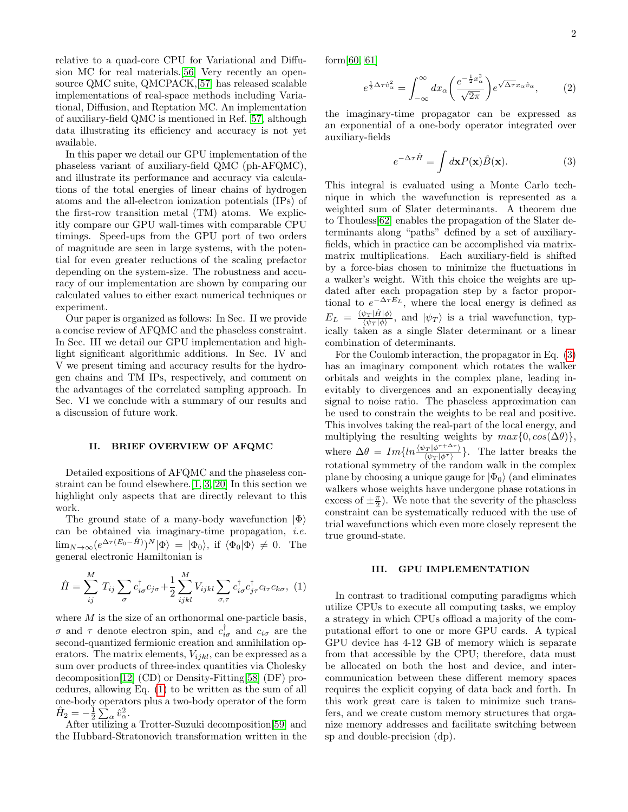relative to a quad-core CPU for Variational and Diffusion MC for real materials.[\[56\]](#page-10-16) Very recently an opensource QMC suite, QMCPACK,[\[57\]](#page-10-17) has released scalable implementations of real-space methods including Variational, Diffusion, and Reptation MC. An implementation of auxiliary-field QMC is mentioned in Ref. [57,](#page-10-17) although data illustrating its efficiency and accuracy is not yet available.

In this paper we detail our GPU implementation of the phaseless variant of auxiliary-field QMC (ph-AFQMC), and illustrate its performance and accuracy via calculations of the total energies of linear chains of hydrogen atoms and the all-electron ionization potentials (IPs) of the first-row transition metal (TM) atoms. We explicitly compare our GPU wall-times with comparable CPU timings. Speed-ups from the GPU port of two orders of magnitude are seen in large systems, with the potential for even greater reductions of the scaling prefactor depending on the system-size. The robustness and accuracy of our implementation are shown by comparing our calculated values to either exact numerical techniques or experiment.

Our paper is organized as follows: In Sec. II we provide a concise review of AFQMC and the phaseless constraint. In Sec. III we detail our GPU implementation and highlight significant algorithmic additions. In Sec. IV and V we present timing and accuracy results for the hydrogen chains and TM IPs, respectively, and comment on the advantages of the correlated sampling approach. In Sec. VI we conclude with a summary of our results and a discussion of future work.

# II. BRIEF OVERVIEW OF AFQMC

Detailed expositions of AFQMC and the phaseless constraint can be found elsewhere.[\[1,](#page-9-0) [3,](#page-9-14) [20\]](#page-9-6) In this section we highlight only aspects that are directly relevant to this work.

The ground state of a many-body wavefunction  $|\Phi\rangle$ can be obtained via imaginary-time propagation, i.e.  $\lim_{N\to\infty} (e^{\Delta \tau (E_0 - \hat{H})})^N |\Phi\rangle = |\Phi_0\rangle$ , if  $\langle \Phi_0 | \Phi \rangle \neq 0$ . The general electronic Hamiltonian is

<span id="page-1-0"></span>
$$
\hat{H} = \sum_{ij}^{M} T_{ij} \sum_{\sigma} c_{i\sigma}^{\dagger} c_{j\sigma} + \frac{1}{2} \sum_{ijkl}^{M} V_{ijkl} \sum_{\sigma,\tau} c_{i\sigma}^{\dagger} c_{j\tau}^{\dagger} c_{l\tau} c_{k\sigma}, (1)
$$

where  $M$  is the size of an orthonormal one-particle basis, σ and τ denote electron spin, and  $c_{i\sigma}^{\dagger}$  and  $c_{i\sigma}$  are the second-quantized fermionic creation and annihilation operators. The matrix elements,  $V_{ijkl}$ , can be expressed as a sum over products of three-index quantities via Cholesky decomposition[\[12\]](#page-9-15) (CD) or Density-Fitting[\[58\]](#page-10-18) (DF) procedures, allowing Eq. [\(1\)](#page-1-0) to be written as the sum of all one-body operators plus a two-body operator of the form  $\hat{H}_2 = -\frac{1}{2} \sum_{\alpha} \hat{v}_{\alpha}^2.$ 

After utilizing a Trotter-Suzuki decomposition[\[59\]](#page-10-19) and the Hubbard-Stratonovich transformation written in the form[\[60,](#page-10-20) [61\]](#page-10-21)

<span id="page-1-2"></span>
$$
e^{\frac{1}{2}\Delta\tau\hat{v}_{\alpha}^{2}} = \int_{-\infty}^{\infty} dx_{\alpha} \left(\frac{e^{-\frac{1}{2}x_{\alpha}^{2}}}{\sqrt{2\pi}}\right) e^{\sqrt{\Delta\tau}x_{\alpha}\hat{v}_{\alpha}},\qquad(2)
$$

the imaginary-time propagator can be expressed as an exponential of a one-body operator integrated over auxiliary-fields

<span id="page-1-1"></span>
$$
e^{-\Delta \tau \hat{H}} = \int d\mathbf{x} P(\mathbf{x}) \hat{B}(\mathbf{x}). \tag{3}
$$

This integral is evaluated using a Monte Carlo technique in which the wavefunction is represented as a weighted sum of Slater determinants. A theorem due to Thouless[\[62\]](#page-10-22) enables the propagation of the Slater determinants along "paths" defined by a set of auxiliaryfields, which in practice can be accomplished via matrixmatrix multiplications. Each auxiliary-field is shifted by a force-bias chosen to minimize the fluctuations in a walker's weight. With this choice the weights are updated after each propagation step by a factor proportional to  $e^{-\Delta \tau E_L}$ , where the local energy is defined as  $E_L = \frac{\langle \psi_T | \hat{H} | \phi \rangle}{\langle \psi_T | \phi \rangle}$  $\frac{\psi_T |H|\phi\rangle}{\langle \psi_T|\phi\rangle}$ , and  $|\psi_T\rangle$  is a trial wavefunction, typically taken as a single Slater determinant or a linear combination of determinants.

For the Coulomb interaction, the propagator in Eq. [\(3\)](#page-1-1) has an imaginary component which rotates the walker orbitals and weights in the complex plane, leading inevitably to divergences and an exponentially decaying signal to noise ratio. The phaseless approximation can be used to constrain the weights to be real and positive. This involves taking the real-part of the local energy, and multiplying the resulting weights by  $max\{0, cos(\Delta\theta)\}\,$ , where  $\Delta \theta = Im\{ln \frac{\langle \psi_T | \phi^{\tau + \Delta \tau} \rangle}{\langle \psi_T | \phi^{\tau} \rangle} \}$ . The latter breaks the rotational symmetry of the random walk in the complex plane by choosing a unique gauge for  $|\Phi_0\rangle$  (and eliminates walkers whose weights have undergone phase rotations in excess of  $\pm \frac{\pi}{2}$ ). We note that the severity of the phaseless constraint can be systematically reduced with the use of trial wavefunctions which even more closely represent the true ground-state.

# III. GPU IMPLEMENTATION

In contrast to traditional computing paradigms which utilize CPUs to execute all computing tasks, we employ a strategy in which CPUs offload a majority of the computational effort to one or more GPU cards. A typical GPU device has 4-12 GB of memory which is separate from that accessible by the CPU; therefore, data must be allocated on both the host and device, and intercommunication between these different memory spaces requires the explicit copying of data back and forth. In this work great care is taken to minimize such transfers, and we create custom memory structures that organize memory addresses and facilitate switching between sp and double-precision (dp).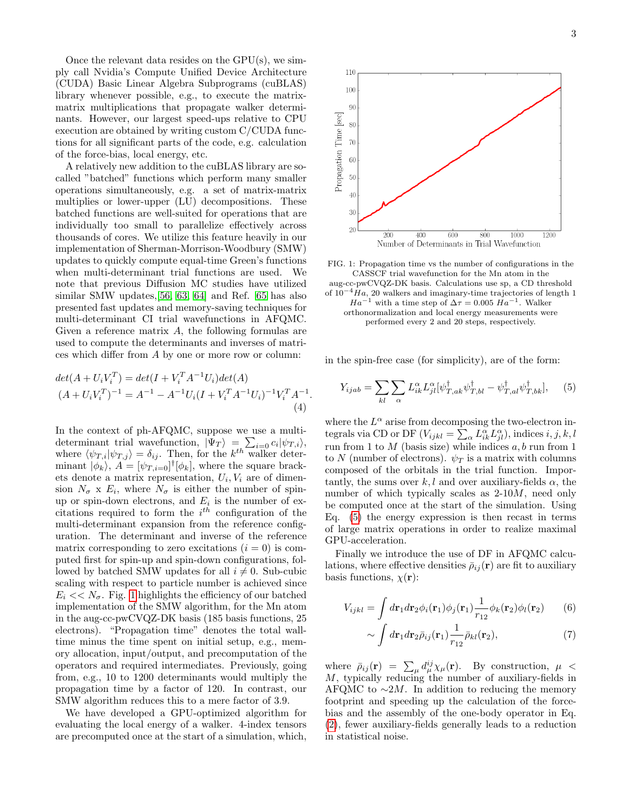Once the relevant data resides on the GPU(s), we simply call Nvidia's Compute Unified Device Architecture (CUDA) Basic Linear Algebra Subprograms (cuBLAS) library whenever possible, e.g., to execute the matrixmatrix multiplications that propagate walker determinants. However, our largest speed-ups relative to CPU execution are obtained by writing custom C/CUDA functions for all significant parts of the code, e.g. calculation of the force-bias, local energy, etc.

A relatively new addition to the cuBLAS library are socalled "batched" functions which perform many smaller operations simultaneously, e.g. a set of matrix-matrix multiplies or lower-upper (LU) decompositions. These batched functions are well-suited for operations that are individually too small to parallelize effectively across thousands of cores. We utilize this feature heavily in our implementation of Sherman-Morrison-Woodbury (SMW) updates to quickly compute equal-time Green's functions when multi-determinant trial functions are used. We note that previous Diffusion MC studies have utilized similar SMW updates,[\[56,](#page-10-16) [63,](#page-10-23) [64\]](#page-10-24) and Ref. [65](#page-10-25) has also presented fast updates and memory-saving techniques for multi-determinant CI trial wavefunctions in AFQMC. Given a reference matrix  $A$ , the following formulas are used to compute the determinants and inverses of matrices which differ from A by one or more row or column:

$$
det(A + U_i V_i^T) = det(I + V_i^T A^{-1} U_i) det(A)
$$
  

$$
(A + U_i V_i^T)^{-1} = A^{-1} - A^{-1} U_i (I + V_i^T A^{-1} U_i)^{-1} V_i^T A^{-1}.
$$
  
(4)

In the context of ph-AFQMC, suppose we use a multideterminant trial wavefunction,  $|\Psi_T\rangle = \sum_{i=0} c_i |\psi_{T,i}\rangle$ , where  $\langle \psi_{T,i} | \psi_{T,j} \rangle = \delta_{ij}$ . Then, for the  $k^{th}$  walker determinant  $|\phi_k\rangle$ ,  $A = [\psi_{T,i=0}]^{\dagger}[\phi_k]$ , where the square brackets denote a matrix representation,  $U_i, V_i$  are of dimension  $N_{\sigma}$  x  $E_i$ , where  $N_{\sigma}$  is either the number of spinup or spin-down electrons, and  $E_i$  is the number of excitations required to form the  $i^{th}$  configuration of the multi-determinant expansion from the reference configuration. The determinant and inverse of the reference matrix corresponding to zero excitations  $(i = 0)$  is computed first for spin-up and spin-down configurations, followed by batched SMW updates for all  $i \neq 0$ . Sub-cubic scaling with respect to particle number is achieved since  $E_i \ll N_{\sigma}$ . Fig. [1](#page-2-0) highlights the efficiency of our batched implementation of the SMW algorithm, for the Mn atom in the aug-cc-pwCVQZ-DK basis (185 basis functions, 25 electrons). "Propagation time" denotes the total walltime minus the time spent on initial setup, e.g., memory allocation, input/output, and precomputation of the operators and required intermediates. Previously, going from, e.g., 10 to 1200 determinants would multiply the propagation time by a factor of 120. In contrast, our SMW algorithm reduces this to a mere factor of 3.9.

We have developed a GPU-optimized algorithm for evaluating the local energy of a walker. 4-index tensors are precomputed once at the start of a simulation, which,

<span id="page-2-0"></span>

FIG. 1: Propagation time vs the number of configurations in the CASSCF trial wavefunction for the Mn atom in the aug-cc-pwCVQZ-DK basis. Calculations use sp, a CD threshold of  $10^{-4}Ha$ , 20 walkers and imaginary-time trajectories of length 1

 $Ha^{-1}$  with a time step of  $\Delta \tau = 0.005$   $Ha^{-1}$ . Walker orthonormalization and local energy measurements were performed every 2 and 20 steps, respectively.

in the spin-free case (for simplicity), are of the form:

<span id="page-2-1"></span>
$$
Y_{ijab} = \sum_{kl} \sum_{\alpha} L_{ik}^{\alpha} L_{jl}^{\alpha} [\psi_{T,ak}^{\dagger} \psi_{T,bl}^{\dagger} - \psi_{T,al}^{\dagger} \psi_{T,bk}^{\dagger}], \quad (5)
$$

where the  $L^{\alpha}$  arise from decomposing the two-electron integrals via CD or DF  $(V_{ijkl} = \sum_{\alpha} L_{ik}^{\alpha} L_{jl}^{\alpha}),$  indices  $i, j, k, l$ run from 1 to  $M$  (basis size) while indices  $a, b$  run from 1 to N (number of electrons).  $\psi_T$  is a matrix with columns composed of the orbitals in the trial function. Importantly, the sums over k, l and over auxiliary-fields  $\alpha$ , the number of which typically scales as 2-10M, need only be computed once at the start of the simulation. Using Eq. [\(5\)](#page-2-1) the energy expression is then recast in terms of large matrix operations in order to realize maximal GPU-acceleration.

Finally we introduce the use of DF in AFQMC calculations, where effective densities  $\bar{\rho}_{ij}(\mathbf{r})$  are fit to auxiliary basis functions,  $\chi(\mathbf{r})$ :

$$
V_{ijkl} = \int d\mathbf{r}_1 d\mathbf{r}_2 \phi_i(\mathbf{r}_1) \phi_j(\mathbf{r}_1) \frac{1}{r_{12}} \phi_k(\mathbf{r}_2) \phi_l(\mathbf{r}_2)
$$
 (6)

$$
\sim \int d\mathbf{r}_1 d\mathbf{r}_2 \bar{\rho}_{ij}(\mathbf{r}_1) \frac{1}{r_{12}} \bar{\rho}_{kl}(\mathbf{r}_2),\tag{7}
$$

where  $\bar{\rho}_{ij}(\mathbf{r}) = \sum_{\mu} d_{\mu}^{ij} \chi_{\mu}(\mathbf{r})$ . By construction,  $\mu$  < M, typically reducing the number of auxiliary-fields in AFQMC to  $\sim 2M$ . In addition to reducing the memory footprint and speeding up the calculation of the forcebias and the assembly of the one-body operator in Eq. [\(2\)](#page-1-2), fewer auxiliary-fields generally leads to a reduction in statistical noise.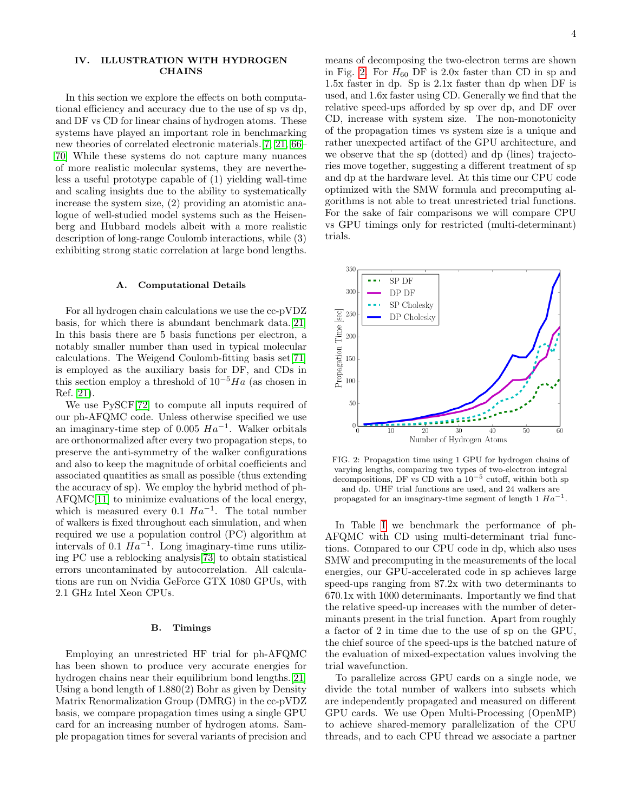# IV. ILLUSTRATION WITH HYDROGEN **CHAINS**

In this section we explore the effects on both computational efficiency and accuracy due to the use of sp vs dp, and DF vs CD for linear chains of hydrogen atoms. These systems have played an important role in benchmarking new theories of correlated electronic materials.[\[7,](#page-9-16) [21,](#page-9-17) [66–](#page-10-26) [70\]](#page-10-27) While these systems do not capture many nuances of more realistic molecular systems, they are nevertheless a useful prototype capable of (1) yielding wall-time and scaling insights due to the ability to systematically increase the system size, (2) providing an atomistic analogue of well-studied model systems such as the Heisenberg and Hubbard models albeit with a more realistic description of long-range Coulomb interactions, while (3) exhibiting strong static correlation at large bond lengths.

### A. Computational Details

For all hydrogen chain calculations we use the cc-pVDZ basis, for which there is abundant benchmark data.[\[21\]](#page-9-17) In this basis there are 5 basis functions per electron, a notably smaller number than used in typical molecular calculations. The Weigend Coulomb-fitting basis set[\[71\]](#page-10-28) is employed as the auxiliary basis for DF, and CDs in this section employ a threshold of  $10^{-5}Ha$  (as chosen in Ref. [21\)](#page-9-17).

We use PySCF[\[72\]](#page-10-29) to compute all inputs required of our ph-AFQMC code. Unless otherwise specified we use an imaginary-time step of 0.005  $Ha^{-1}$ . Walker orbitals are orthonormalized after every two propagation steps, to preserve the anti-symmetry of the walker configurations and also to keep the magnitude of orbital coefficients and associated quantities as small as possible (thus extending the accuracy of sp). We employ the hybrid method of ph-AFQMC[\[11\]](#page-9-18) to minimize evaluations of the local energy, which is measured every 0.1  $Ha^{-1}$ . The total number of walkers is fixed throughout each simulation, and when required we use a population control (PC) algorithm at intervals of 0.1  $Ha^{-1}$ . Long imaginary-time runs utilizing PC use a reblocking analysis[\[73\]](#page-10-30) to obtain statistical errors uncontaminated by autocorrelation. All calculations are run on Nvidia GeForce GTX 1080 GPUs, with 2.1 GHz Intel Xeon CPUs.

#### B. Timings

Employing an unrestricted HF trial for ph-AFQMC has been shown to produce very accurate energies for hydrogen chains near their equilibrium bond lengths.[\[21\]](#page-9-17) Using a bond length of 1.880(2) Bohr as given by Density Matrix Renormalization Group (DMRG) in the cc-pVDZ basis, we compare propagation times using a single GPU card for an increasing number of hydrogen atoms. Sample propagation times for several variants of precision and

means of decomposing the two-electron terms are shown in Fig. [2.](#page-3-0) For  $H_{60}$  DF is 2.0x faster than CD in sp and 1.5x faster in dp. Sp is 2.1x faster than dp when DF is used, and 1.6x faster using CD. Generally we find that the relative speed-ups afforded by sp over dp, and DF over CD, increase with system size. The non-monotonicity of the propagation times vs system size is a unique and rather unexpected artifact of the GPU architecture, and we observe that the sp (dotted) and dp (lines) trajectories move together, suggesting a different treatment of sp and dp at the hardware level. At this time our CPU code optimized with the SMW formula and precomputing algorithms is not able to treat unrestricted trial functions. For the sake of fair comparisons we will compare CPU vs GPU timings only for restricted (multi-determinant) trials.

<span id="page-3-0"></span>

FIG. 2: Propagation time using 1 GPU for hydrogen chains of varying lengths, comparing two types of two-electron integral decompositions, DF vs CD with a  $10^{-5}$  cutoff, within both sp and dp. UHF trial functions are used, and 24 walkers are propagated for an imaginary-time segment of length 1  $Ha^{-1}$ .

In Table [I](#page-4-0) we benchmark the performance of ph-AFQMC with CD using multi-determinant trial functions. Compared to our CPU code in dp, which also uses SMW and precomputing in the measurements of the local energies, our GPU-accelerated code in sp achieves large speed-ups ranging from 87.2x with two determinants to 670.1x with 1000 determinants. Importantly we find that the relative speed-up increases with the number of determinants present in the trial function. Apart from roughly a factor of 2 in time due to the use of sp on the GPU, the chief source of the speed-ups is the batched nature of the evaluation of mixed-expectation values involving the trial wavefunction.

To parallelize across GPU cards on a single node, we divide the total number of walkers into subsets which are independently propagated and measured on different GPU cards. We use Open Multi-Processing (OpenMP) to achieve shared-memory parallelization of the CPU threads, and to each CPU thread we associate a partner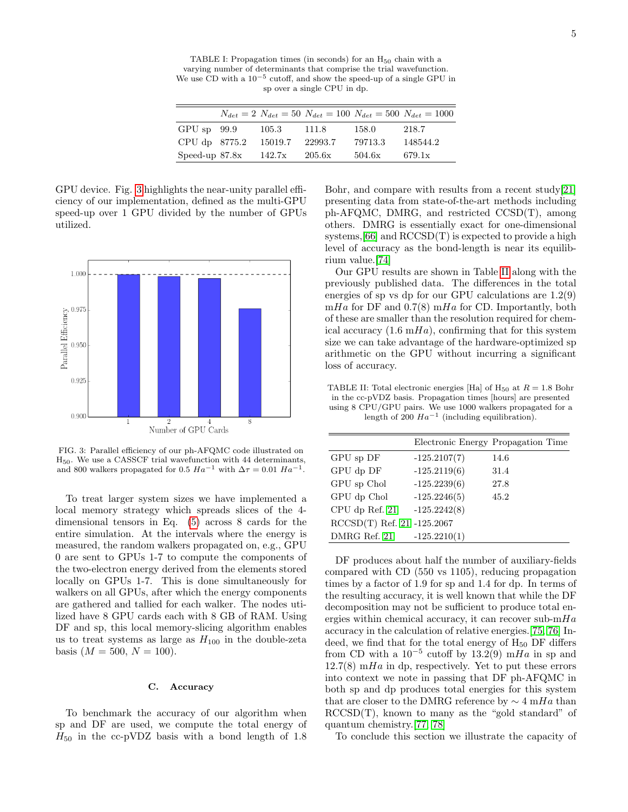<span id="page-4-0"></span>TABLE I: Propagation times (in seconds) for an  $H_{50}$  chain with a varying number of determinants that comprise the trial wavefunction. We use CD with a 10−<sup>5</sup> cutoff, and show the speed-up of a single GPU in sp over a single CPU in dp.

|                  |         |         |         | $N_{det} = 2 N_{det} = 50 N_{det} = 100 N_{det} = 500 N_{det} = 1000$ |
|------------------|---------|---------|---------|-----------------------------------------------------------------------|
| $GPU$ sp $99.9$  | 105.3   | 111.8   | 158.0   | 218.7                                                                 |
| CPU dp 8775.2    | 15019.7 | 22993.7 | 79713.3 | 148544.2                                                              |
| Speed-up $87.8x$ | 142.7x  | 205.6x  | 504.6x  | 679.1x                                                                |

GPU device. Fig. [3](#page-4-1) highlights the near-unity parallel efficiency of our implementation, defined as the multi-GPU speed-up over 1 GPU divided by the number of GPUs utilized.

<span id="page-4-1"></span>

FIG. 3: Parallel efficiency of our ph-AFQMC code illustrated on H50. We use a CASSCF trial wavefunction with 44 determinants, and 800 walkers propagated for 0.5  $Ha^{-1}$  with  $\Delta \tau = 0.01$   $Ha^{-1}$ .

To treat larger system sizes we have implemented a local memory strategy which spreads slices of the 4 dimensional tensors in Eq. [\(5\)](#page-2-1) across 8 cards for the entire simulation. At the intervals where the energy is measured, the random walkers propagated on, e.g., GPU 0 are sent to GPUs 1-7 to compute the components of the two-electron energy derived from the elements stored locally on GPUs 1-7. This is done simultaneously for walkers on all GPUs, after which the energy components are gathered and tallied for each walker. The nodes utilized have 8 GPU cards each with 8 GB of RAM. Using DF and sp, this local memory-slicing algorithm enables us to treat systems as large as  $H_{100}$  in the double-zeta basis  $(M = 500, N = 100)$ .

### C. Accuracy

To benchmark the accuracy of our algorithm when sp and DF are used, we compute the total energy of  $H_{50}$  in the cc-pVDZ basis with a bond length of 1.8

Bohr, and compare with results from a recent study[\[21\]](#page-9-17) presenting data from state-of-the-art methods including ph-AFQMC, DMRG, and restricted CCSD(T), among others. DMRG is essentially exact for one-dimensional systems,[\[66\]](#page-10-26) and RCCSD(T) is expected to provide a high level of accuracy as the bond-length is near its equilibrium value.[\[74\]](#page-10-31)

Our GPU results are shown in Table [II](#page-4-2) along with the previously published data. The differences in the total energies of sp vs dp for our GPU calculations are 1.2(9) mHa for DF and  $0.7(8)$  mHa for CD. Importantly, both of these are smaller than the resolution required for chemical accuracy  $(1.6 \text{ m} Ha)$ , confirming that for this system size we can take advantage of the hardware-optimized sp arithmetic on the GPU without incurring a significant loss of accuracy.

<span id="page-4-2"></span>TABLE II: Total electronic energies [Ha] of H<sub>50</sub> at  $R = 1.8$  Bohr in the cc-pVDZ basis. Propagation times [hours] are presented using 8 CPU/GPU pairs. We use 1000 walkers propagated for a length of 200  $Ha^{-1}$  (including equilibration).

|                              |                | Electronic Energy Propagation Time |
|------------------------------|----------------|------------------------------------|
| GPU sp DF                    | $-125.2107(7)$ | 14.6                               |
| GPU dp DF                    | $-125.2119(6)$ | 31.4                               |
| GPU sp Chol                  | $-125.2239(6)$ | 27.8                               |
| GPU dp Chol                  | $-125.2246(5)$ | 45.2                               |
| CPU dp Ref. 21               | $-125.2242(8)$ |                                    |
| $RCCSD(T)$ Ref. 21 -125.2067 |                |                                    |
| DMRG Ref. 21                 | $-125.2210(1)$ |                                    |

DF produces about half the number of auxiliary-fields compared with CD (550 vs 1105), reducing propagation times by a factor of 1.9 for sp and 1.4 for dp. In terms of the resulting accuracy, it is well known that while the DF decomposition may not be sufficient to produce total energies within chemical accuracy, it can recover sub- $mHa$ accuracy in the calculation of relative energies.[\[75,](#page-10-32) [76\]](#page-10-33) Indeed, we find that for the total energy of  $H_{50}$  DF differs from CD with a  $10^{-5}$  cutoff by  $13.2(9)$  mHa in sp and  $12.7(8)$  mHa in dp, respectively. Yet to put these errors into context we note in passing that DF ph-AFQMC in both sp and dp produces total energies for this system that are closer to the DMRG reference by  $\sim 4 \text{ m}Ha$  than RCCSD(T), known to many as the "gold standard" of quantum chemistry.[\[77,](#page-10-34) [78\]](#page-10-35)

To conclude this section we illustrate the capacity of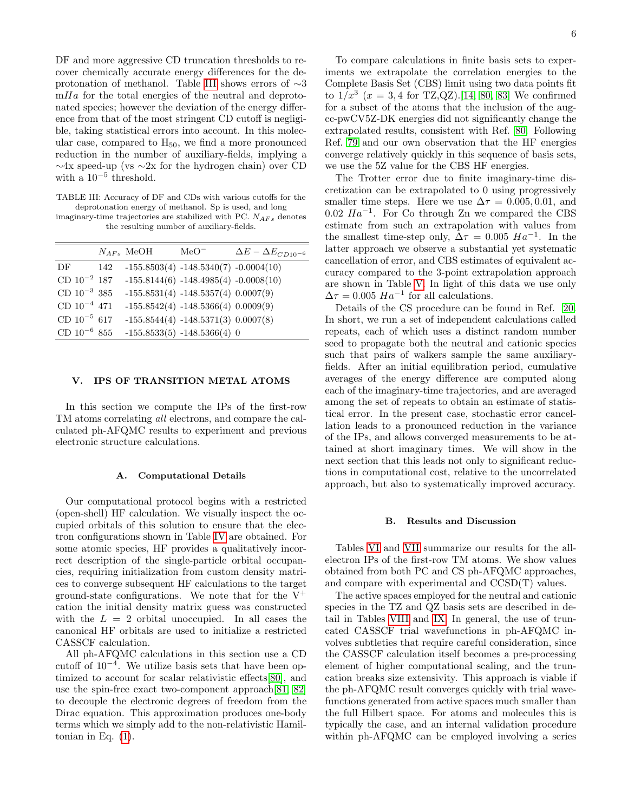DF and more aggressive CD truncation thresholds to recover chemically accurate energy differences for the deprotonation of methanol. Table [III](#page-5-0) shows errors of ∼3  $mHa$  for the total energies of the neutral and deprotonated species; however the deviation of the energy difference from that of the most stringent CD cutoff is negligible, taking statistical errors into account. In this molecular case, compared to  $H_{50}$ , we find a more pronounced reduction in the number of auxiliary-fields, implying a ∼4x speed-up (vs ∼2x for the hydrogen chain) over CD with a  $10^{-5}$  threshold.

<span id="page-5-0"></span>TABLE III: Accuracy of DF and CDs with various cutoffs for the deprotonation energy of methanol. Sp is used, and long

imaginary-time trajectories are stabilized with PC.  $N_{AFs}$  denotes the resulting number of auxiliary-fields.

|                  |     | $N_{AFs}$ MeOH | $MeO^-$                                 | $\Delta E - \Delta E_{CD10^{-6}}$ |
|------------------|-----|----------------|-----------------------------------------|-----------------------------------|
| DF               | 142 |                | $-155.8503(4) -148.5340(7) -0.0004(10)$ |                                   |
| $CD 10^{-2} 187$ |     |                | $-155.8144(6) -148.4985(4) -0.0008(10)$ |                                   |
| CD $10^{-3}$ 385 |     |                | $-155.8531(4) -148.5357(4) 0.0007(9)$   |                                   |
| $CD 10^{-4} 471$ |     |                | $-155.8542(4) -148.5366(4) 0.0009(9)$   |                                   |
| $CD 10^{-5} 617$ |     |                | $-155.8544(4) -148.5371(3) 0.0007(8)$   |                                   |
| CD $10^{-6}$ 855 |     |                | $-155.8533(5) -148.5366(4) 0$           |                                   |

### V. IPS OF TRANSITION METAL ATOMS

In this section we compute the IPs of the first-row TM atoms correlating all electrons, and compare the calculated ph-AFQMC results to experiment and previous electronic structure calculations.

#### A. Computational Details

Our computational protocol begins with a restricted (open-shell) HF calculation. We visually inspect the occupied orbitals of this solution to ensure that the electron configurations shown in Table [IV](#page-6-0) are obtained. For some atomic species, HF provides a qualitatively incorrect description of the single-particle orbital occupancies, requiring initialization from custom density matrices to converge subsequent HF calculations to the target ground-state configurations. We note that for the  $V^+$ cation the initial density matrix guess was constructed with the  $L = 2$  orbital unoccupied. In all cases the canonical HF orbitals are used to initialize a restricted CASSCF calculation.

All ph-AFQMC calculations in this section use a CD cutoff of  $10^{-4}$ . We utilize basis sets that have been optimized to account for scalar relativistic effects[\[80\]](#page-10-36), and use the spin-free exact two-component approach[\[81,](#page-10-37) [82\]](#page-10-38) to decouple the electronic degrees of freedom from the Dirac equation. This approximation produces one-body terms which we simply add to the non-relativistic Hamiltonian in Eq. [\(1\)](#page-1-0).

To compare calculations in finite basis sets to experiments we extrapolate the correlation energies to the Complete Basis Set (CBS) limit using two data points fit to  $1/x^3$   $(x = 3, 4$  for TZ,QZ).[\[14,](#page-9-19) [80,](#page-10-36) [83\]](#page-10-39) We confirmed for a subset of the atoms that the inclusion of the augcc-pwCV5Z-DK energies did not significantly change the extrapolated results, consistent with Ref. [80.](#page-10-36) Following Ref. [79](#page-10-40) and our own observation that the HF energies converge relatively quickly in this sequence of basis sets, we use the 5Z value for the CBS HF energies.

The Trotter error due to finite imaginary-time discretization can be extrapolated to 0 using progressively smaller time steps. Here we use  $\Delta \tau = 0.005, 0.01,$  and 0.02  $Ha^{-1}$ . For Co through Zn we compared the CBS estimate from such an extrapolation with values from the smallest time-step only,  $\Delta \tau = 0.005$   $Ha^{-1}$ . In the latter approach we observe a substantial yet systematic cancellation of error, and CBS estimates of equivalent accuracy compared to the 3-point extrapolation approach are shown in Table [V.](#page-6-1) In light of this data we use only  $\Delta \tau = 0.005$   $Ha^{-1}$  for all calculations.

Details of the CS procedure can be found in Ref. [20.](#page-9-6) In short, we run a set of independent calculations called repeats, each of which uses a distinct random number seed to propagate both the neutral and cationic species such that pairs of walkers sample the same auxiliaryfields. After an initial equilibration period, cumulative averages of the energy difference are computed along each of the imaginary-time trajectories, and are averaged among the set of repeats to obtain an estimate of statistical error. In the present case, stochastic error cancellation leads to a pronounced reduction in the variance of the IPs, and allows converged measurements to be attained at short imaginary times. We will show in the next section that this leads not only to significant reductions in computational cost, relative to the uncorrelated approach, but also to systematically improved accuracy.

#### B. Results and Discussion

Tables [VI](#page-6-2) and [VII](#page-6-3) summarize our results for the allelectron IPs of the first-row TM atoms. We show values obtained from both PC and CS ph-AFQMC approaches, and compare with experimental and CCSD(T) values.

The active spaces employed for the neutral and cationic species in the TZ and QZ basis sets are described in detail in Tables [VIII](#page-7-0) and [IX.](#page-7-1) In general, the use of truncated CASSCF trial wavefunctions in ph-AFQMC involves subtleties that require careful consideration, since the CASSCF calculation itself becomes a pre-processing element of higher computational scaling, and the truncation breaks size extensivity. This approach is viable if the ph-AFQMC result converges quickly with trial wavefunctions generated from active spaces much smaller than the full Hilbert space. For atoms and molecules this is typically the case, and an internal validation procedure within ph-AFQMC can be employed involving a series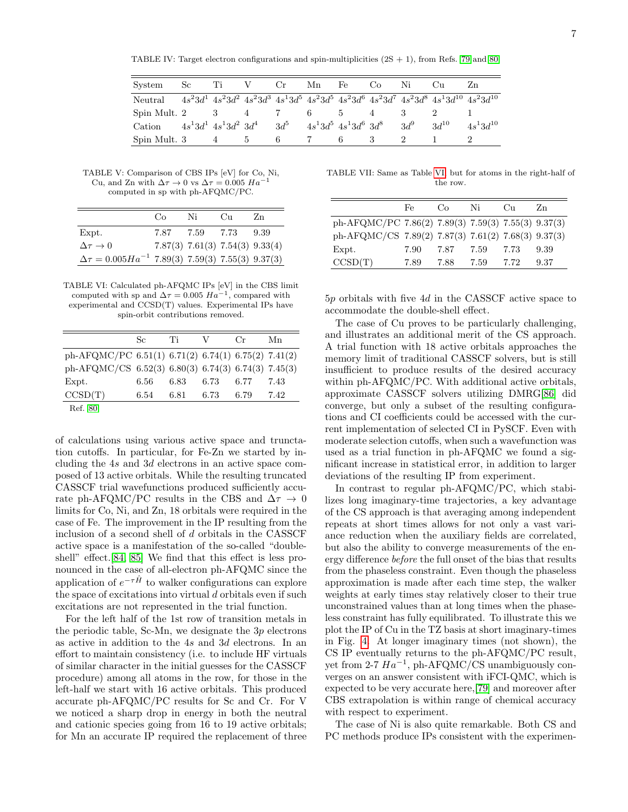<span id="page-6-0"></span>TABLE IV: Target electron configurations and spin-multiplicities  $(2S + 1)$ , from Refs. [79](#page-10-40) and [80.](#page-10-36)

| System                                                                                           | Sc       | Ti                             | V             | $\rm Cr$ | Mn | Fe                           | Co | Ni     | Cu        | Zn            |
|--------------------------------------------------------------------------------------------------|----------|--------------------------------|---------------|----------|----|------------------------------|----|--------|-----------|---------------|
| Neutral $4s^23d^14s^23d^24s^23d^34s^13d^54s^23d^54s^23d^64s^23d^74s^23d^84s^13d^{10}4s^23d^{10}$ |          |                                |               |          |    |                              |    |        |           |               |
| Spin Mult. 2                                                                                     | $\sim$ 3 |                                | 4             |          |    | $\mathbf{a}$                 | 4  |        |           |               |
| Cation                                                                                           |          | $4s^13d^1\,\,4s^13d^2\,\,3d^4$ |               | $3d^5$   |    | $4s^13d^5$ $4s^13d^6$ $3d^8$ |    | $3d^9$ | $3d^{10}$ | $4s^13d^{10}$ |
| Spin Mult. 3                                                                                     |          | 4                              | $\mathcal{D}$ |          |    |                              |    |        |           |               |

<span id="page-6-1"></span>TABLE V: Comparison of CBS IPs [eV] for Co, Ni, Cu, and Zn with  $\Delta \tau \to 0$  vs  $\Delta \tau = 0.005$   $Ha^{-1}$ computed in sp with ph-AFQMC/PC.

|                                                               | Co   | Ni                              | $C_{11}$ | Zn    |
|---------------------------------------------------------------|------|---------------------------------|----------|-------|
| Expt.                                                         | 7.87 | 7.59                            | 7.73     | -9.39 |
| $\Delta \tau \rightarrow 0$                                   |      | 7.87(3) 7.61(3) 7.54(3) 9.33(4) |          |       |
| $\Delta \tau = 0.005 Ha^{-1}$ 7.89(3) 7.59(3) 7.55(3) 9.37(3) |      |                                 |          |       |

<span id="page-6-2"></span>TABLE VI: Calculated ph-AFQMC IPs [eV] in the CBS limit computed with sp and  $\Delta \tau = 0.005$   $Ha^{-1}$ , compared with experimental and CCSD(T) values. Experimental IPs have spin-orbit contributions removed.

|                                                     | Sc.  | Ti   | V    | $C_{\rm r}$ | Мn   |
|-----------------------------------------------------|------|------|------|-------------|------|
| ph-AFQMC/PC 6.51(1) 6.71(2) 6.74(1) 6.75(2) 7.41(2) |      |      |      |             |      |
| ph-AFQMC/CS 6.52(3) 6.80(3) 6.74(3) 6.74(3) 7.45(3) |      |      |      |             |      |
| Expt.                                               | 6.56 | 6.83 | 6.73 | 6.77        | 7.43 |
| CCSD(T)                                             | 6.54 | 6.81 | 6.73 | 6.79        | 7.42 |
| $D - f = \Omega$                                    |      |      |      |             |      |

Ref. [80](#page-10-36)

of calculations using various active space and trunctation cutoffs. In particular, for Fe-Zn we started by including the 4s and 3d electrons in an active space composed of 13 active orbitals. While the resulting truncated CASSCF trial wavefunctions produced sufficiently accurate ph-AFQMC/PC results in the CBS and  $\Delta \tau \rightarrow 0$ limits for Co, Ni, and Zn, 18 orbitals were required in the case of Fe. The improvement in the IP resulting from the inclusion of a second shell of d orbitals in the CASSCF active space is a manifestation of the so-called "doubleshell" effect.[\[84,](#page-10-41) [85\]](#page-10-42) We find that this effect is less pronounced in the case of all-electron ph-AFQMC since the application of  $e^{-\tau \hat{H}}$  to walker configurations can explore the space of excitations into virtual  $d$  orbitals even if such excitations are not represented in the trial function.

For the left half of the 1st row of transition metals in the periodic table, Sc-Mn, we designate the  $3p$  electrons as active in addition to the 4s and 3d electrons. In an effort to maintain consistency (i.e. to include HF virtuals of similar character in the initial guesses for the CASSCF procedure) among all atoms in the row, for those in the left-half we start with 16 active orbitals. This produced accurate ph-AFQMC/PC results for Sc and Cr. For V we noticed a sharp drop in energy in both the neutral and cationic species going from 16 to 19 active orbitals; for Mn an accurate IP required the replacement of three

<span id="page-6-3"></span>TABLE VII: Same as Table [VI,](#page-6-2) but for atoms in the right-half of the row.

|                                                     | Fe   | Co   | Ni   | $_{\rm Cu}$ | Zn   |
|-----------------------------------------------------|------|------|------|-------------|------|
| ph-AFQMC/PC 7.86(2) 7.89(3) 7.59(3) 7.55(3) 9.37(3) |      |      |      |             |      |
| ph-AFQMC/CS 7.89(2) 7.87(3) 7.61(2) 7.68(3) 9.37(3) |      |      |      |             |      |
| Expt.                                               | 7.90 | 7.87 | 7.59 | 7.73        | 9.39 |
| CCSD(T)                                             | 7.89 | 788  | 7.59 | 7.72        | 9.37 |

5p orbitals with five 4d in the CASSCF active space to accommodate the double-shell effect.

The case of Cu proves to be particularly challenging, and illustrates an additional merit of the CS approach. A trial function with 18 active orbitals approaches the memory limit of traditional CASSCF solvers, but is still insufficient to produce results of the desired accuracy within ph-AFQMC/PC. With additional active orbitals, approximate CASSCF solvers utilizing DMRG[\[86\]](#page-10-43) did converge, but only a subset of the resulting configurations and CI coefficients could be accessed with the current implementation of selected CI in PySCF. Even with moderate selection cutoffs, when such a wavefunction was used as a trial function in ph-AFQMC we found a significant increase in statistical error, in addition to larger deviations of the resulting IP from experiment.

In contrast to regular ph-AFQMC/PC, which stabilizes long imaginary-time trajectories, a key advantage of the CS approach is that averaging among independent repeats at short times allows for not only a vast variance reduction when the auxiliary fields are correlated, but also the ability to converge measurements of the energy difference before the full onset of the bias that results from the phaseless constraint. Even though the phaseless approximation is made after each time step, the walker weights at early times stay relatively closer to their true unconstrained values than at long times when the phaseless constraint has fully equilibrated. To illustrate this we plot the IP of Cu in the TZ basis at short imaginary-times in Fig. [4.](#page-7-2) At longer imaginary times (not shown), the CS IP eventually returns to the ph-AFQMC/PC result, yet from 2-7  $Ha^{-1}$ , ph-AFQMC/CS unambiguously converges on an answer consistent with iFCI-QMC, which is expected to be very accurate here,[\[79\]](#page-10-40) and moreover after CBS extrapolation is within range of chemical accuracy with respect to experiment.

The case of Ni is also quite remarkable. Both CS and PC methods produce IPs consistent with the experimen-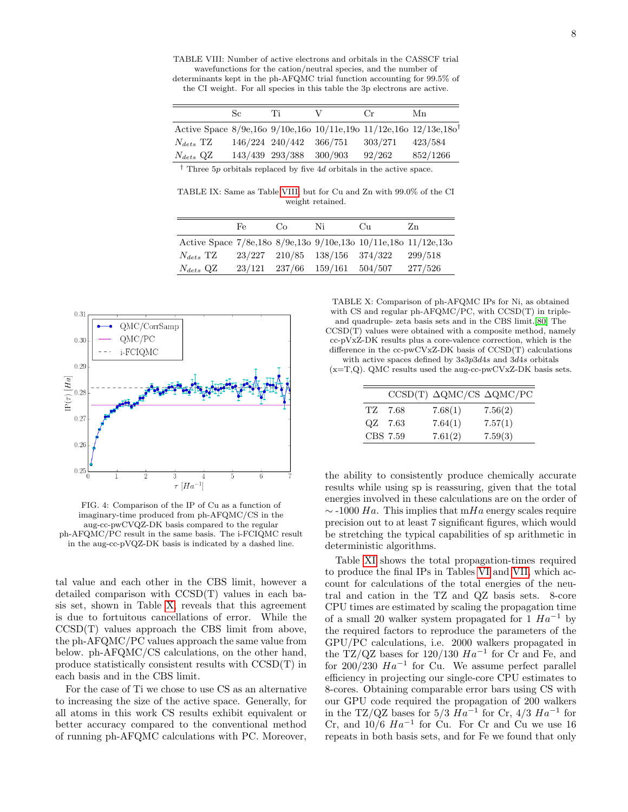<span id="page-7-0"></span>TABLE VIII: Number of active electrons and orbitals in the CASSCF trial wavefunctions for the cation/neutral species, and the number of determinants kept in the ph-AFQMC trial function accounting for 99.5% of

the CI weight. For all species in this table the 3p electrons are active.

|                                                                               | Sc.             | Ίĭ                      |         | $_{\rm Cr}$ | Мn       |
|-------------------------------------------------------------------------------|-----------------|-------------------------|---------|-------------|----------|
| Active Space 8/9e,16o 9/10e,16o 10/11e,19o 11/12e,16o 12/13e,18o <sup>†</sup> |                 |                         |         |             |          |
| $N_{dets}$ TZ                                                                 |                 | 146/224 240/442 366/751 |         | 303/271     | 423/584  |
| $N_{dets}$ QZ                                                                 | 143/439 293/388 |                         | 300/903 | 92/262      | 852/1266 |
|                                                                               |                 |                         |         |             |          |

† Three 5p orbitals replaced by five 4d orbitals in the active space.

<span id="page-7-1"></span>TABLE IX: Same as Table [VIII,](#page-7-0) but for Cu and Zn with 99.0% of the CI weight retained.

|                                                                | Fe     | . GO           | Ni                            | $\binom{1}{1}$ | Zn      |
|----------------------------------------------------------------|--------|----------------|-------------------------------|----------------|---------|
| Active Space 7/8e,18o 8/9e,13o 9/10e,13o 10/11e,18o 11/12e,13o |        |                |                               |                |         |
| $N_{dets}$ TZ                                                  |        |                | 23/227 210/85 138/156 374/322 |                | 299/518 |
| $N_{dets}$ QZ                                                  | 23/121 | 237/66 159/161 |                               | 504/507        | 277/526 |

<span id="page-7-2"></span>

FIG. 4: Comparison of the IP of Cu as a function of imaginary-time produced from ph-AFQMC/CS in the aug-cc-pwCVQZ-DK basis compared to the regular ph-AFQMC/PC result in the same basis. The i-FCIQMC result in the aug-cc-pVQZ-DK basis is indicated by a dashed line.

tal value and each other in the CBS limit, however a detailed comparison with CCSD(T) values in each basis set, shown in Table [X,](#page-7-3) reveals that this agreement is due to fortuitous cancellations of error. While the CCSD(T) values approach the CBS limit from above, the ph-AFQMC/PC values approach the same value from below. ph-AFQMC/CS calculations, on the other hand, produce statistically consistent results with CCSD(T) in each basis and in the CBS limit.

For the case of Ti we chose to use CS as an alternative to increasing the size of the active space. Generally, for all atoms in this work CS results exhibit equivalent or better accuracy compared to the conventional method of running ph-AFQMC calculations with PC. Moreover,

<span id="page-7-3"></span>TABLE X: Comparison of ph-AFQMC IPs for Ni, as obtained with CS and regular ph-AFQMC/PC, with CCSD(T) in tripleand quadruple- zeta basis sets and in the CBS limit.[\[80\]](#page-10-36) The CCSD(T) values were obtained with a composite method, namely cc-pVxZ-DK results plus a core-valence correction, which is the difference in the cc-pwCVxZ-DK basis of CCSD(T) calculations with active spaces defined by 3s3p3d4s and 3d4s orbitals

 $(x=T,Q)$ . QMC results used the aug-cc-pwCVxZ-DK basis sets.

|          | $CCSD(T) \Delta QMC/CS \Delta QMC/PC$ |         |
|----------|---------------------------------------|---------|
| TZ 7.68  | 7.68(1)                               | 7.56(2) |
| QZ 7.63  | 7.64(1)                               | 7.57(1) |
| CBS 7.59 | 7.61(2)                               | 7.59(3) |

the ability to consistently produce chemically accurate results while using sp is reassuring, given that the total energies involved in these calculations are on the order of  $\sim$  -1000 Ha. This implies that mHa energy scales require precision out to at least 7 significant figures, which would be stretching the typical capabilities of sp arithmetic in deterministic algorithms.

Table [XI](#page-8-0) shows the total propagation-times required to produce the final IPs in Tables [VI](#page-6-2) and [VII,](#page-6-3) which account for calculations of the total energies of the neutral and cation in the TZ and QZ basis sets. 8-core CPU times are estimated by scaling the propagation time of a small 20 walker system propagated for 1  $Ha^{-1}$  by the required factors to reproduce the parameters of the GPU/PC calculations, i.e. 2000 walkers propagated in the TZ/QZ bases for  $120/130$   $Ha^{-1}$  for Cr and Fe, and for 200/230  $Ha^{-1}$  for Cu. We assume perfect parallel efficiency in projecting our single-core CPU estimates to 8-cores. Obtaining comparable error bars using CS with our GPU code required the propagation of 200 walkers in the TZ/QZ bases for  $5/3$   $Ha^{-1}$  for Cr,  $4/3$   $Ha^{-1}$  for Cr, and  $10/6$   $Ha^{-1}$  for Cu. For Cr and Cu we use 16 repeats in both basis sets, and for Fe we found that only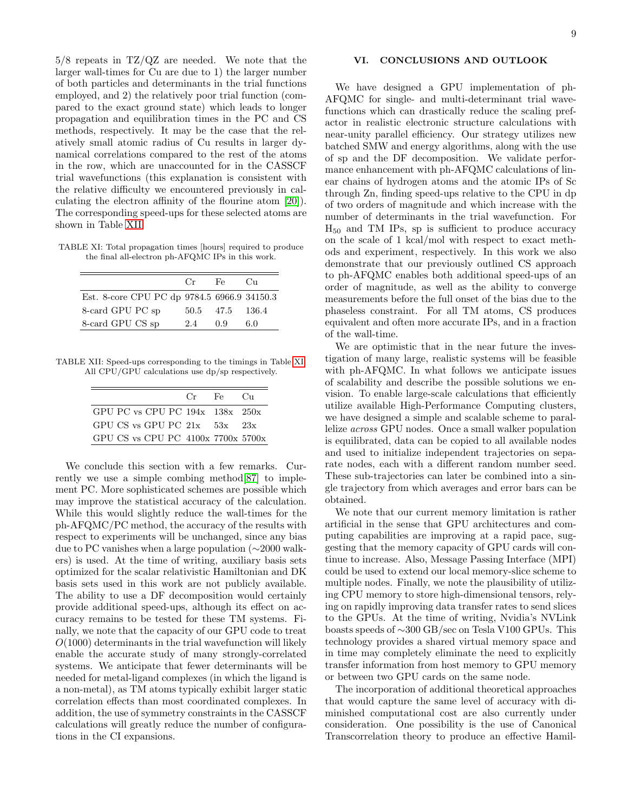5/8 repeats in TZ/QZ are needed. We note that the larger wall-times for Cu are due to 1) the larger number of both particles and determinants in the trial functions employed, and 2) the relatively poor trial function (compared to the exact ground state) which leads to longer propagation and equilibration times in the PC and CS methods, respectively. It may be the case that the relatively small atomic radius of Cu results in larger dynamical correlations compared to the rest of the atoms in the row, which are unaccounted for in the CASSCF trial wavefunctions (this explanation is consistent with the relative difficulty we encountered previously in calculating the electron affinity of the flourine atom [\[20\]](#page-9-6)). The corresponding speed-ups for these selected atoms are shown in Table [XII.](#page-8-1)

<span id="page-8-0"></span>TABLE XI: Total propagation times [hours] required to produce the final all-electron ph-AFQMC IPs in this work.

|                                             | Cr | Fe              | $C_{11}$ |
|---------------------------------------------|----|-----------------|----------|
| Est. 8-core CPU PC dp 9784.5 6966.9 34150.3 |    |                 |          |
| 8-card GPU PC sp                            |    | 50.5 47.5 136.4 |          |
| 8-card GPU CS sp                            | 24 | 0.9             | 6.0      |

<span id="page-8-1"></span>TABLE XII: Speed-ups corresponding to the timings in Table [XI.](#page-8-0) All CPU/GPU calculations use dp/sp respectively.

|                                       | $Cr = Fe = Cu$ |  |
|---------------------------------------|----------------|--|
| GPU PC vs CPU PC $194x$ $138x$ $250x$ |                |  |
| GPU CS vs GPU PC $21x$ 53x $23x$      |                |  |
| GPU CS vs CPU PC 4100x 7700x 5700x    |                |  |

We conclude this section with a few remarks. Currently we use a simple combing method[\[87\]](#page-10-44) to implement PC. More sophisticated schemes are possible which may improve the statistical accuracy of the calculation. While this would slightly reduce the wall-times for the ph-AFQMC/PC method, the accuracy of the results with respect to experiments will be unchanged, since any bias due to PC vanishes when a large population (∼2000 walkers) is used. At the time of writing, auxiliary basis sets optimized for the scalar relativistic Hamiltonian and DK basis sets used in this work are not publicly available. The ability to use a DF decomposition would certainly provide additional speed-ups, although its effect on accuracy remains to be tested for these TM systems. Finally, we note that the capacity of our GPU code to treat  $O(1000)$  determinants in the trial wavefunction will likely enable the accurate study of many strongly-correlated systems. We anticipate that fewer determinants will be needed for metal-ligand complexes (in which the ligand is a non-metal), as TM atoms typically exhibit larger static correlation effects than most coordinated complexes. In addition, the use of symmetry constraints in the CASSCF calculations will greatly reduce the number of configurations in the CI expansions.

# VI. CONCLUSIONS AND OUTLOOK

We have designed a GPU implementation of ph-AFQMC for single- and multi-determinant trial wavefunctions which can drastically reduce the scaling prefactor in realistic electronic structure calculations with near-unity parallel efficiency. Our strategy utilizes new batched SMW and energy algorithms, along with the use of sp and the DF decomposition. We validate performance enhancement with ph-AFQMC calculations of linear chains of hydrogen atoms and the atomic IPs of Sc through Zn, finding speed-ups relative to the CPU in dp of two orders of magnitude and which increase with the number of determinants in the trial wavefunction. For  $H_{50}$  and TM IPs, sp is sufficient to produce accuracy on the scale of 1 kcal/mol with respect to exact methods and experiment, respectively. In this work we also demonstrate that our previously outlined CS approach to ph-AFQMC enables both additional speed-ups of an order of magnitude, as well as the ability to converge measurements before the full onset of the bias due to the phaseless constraint. For all TM atoms, CS produces equivalent and often more accurate IPs, and in a fraction of the wall-time.

We are optimistic that in the near future the investigation of many large, realistic systems will be feasible with ph-AFQMC. In what follows we anticipate issues of scalability and describe the possible solutions we envision. To enable large-scale calculations that efficiently utilize available High-Performance Computing clusters, we have designed a simple and scalable scheme to parallelize across GPU nodes. Once a small walker population is equilibrated, data can be copied to all available nodes and used to initialize independent trajectories on separate nodes, each with a different random number seed. These sub-trajectories can later be combined into a single trajectory from which averages and error bars can be obtained.

We note that our current memory limitation is rather artificial in the sense that GPU architectures and computing capabilities are improving at a rapid pace, suggesting that the memory capacity of GPU cards will continue to increase. Also, Message Passing Interface (MPI) could be used to extend our local memory-slice scheme to multiple nodes. Finally, we note the plausibility of utilizing CPU memory to store high-dimensional tensors, relying on rapidly improving data transfer rates to send slices to the GPUs. At the time of writing, Nvidia's NVLink boasts speeds of ∼300 GB/sec on Tesla V100 GPUs. This technology provides a shared virtual memory space and in time may completely eliminate the need to explicitly transfer information from host memory to GPU memory or between two GPU cards on the same node.

The incorporation of additional theoretical approaches that would capture the same level of accuracy with diminished computational cost are also currently under consideration. One possibility is the use of Canonical Transcorrelation theory to produce an effective Hamil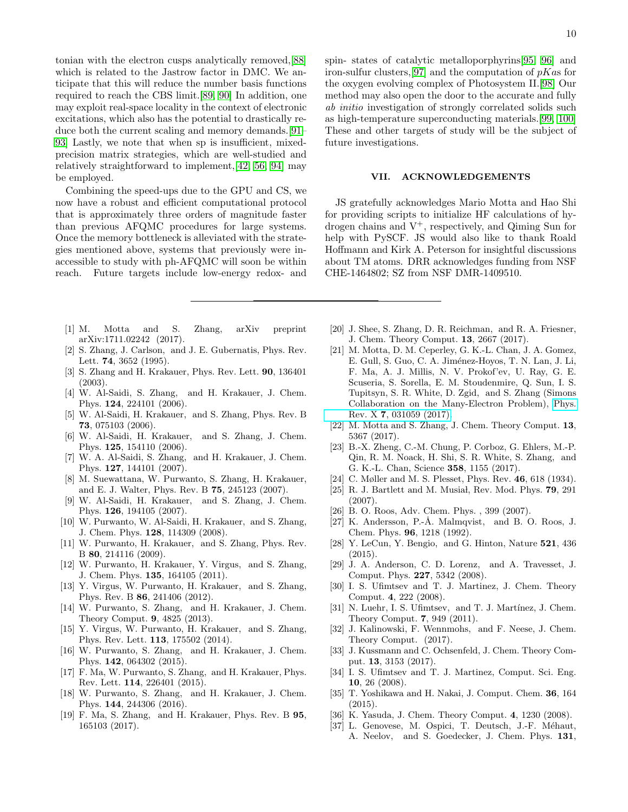tonian with the electron cusps analytically removed,[\[88\]](#page-10-45) which is related to the Jastrow factor in DMC. We anticipate that this will reduce the number basis functions required to reach the CBS limit.[\[89,](#page-10-46) [90\]](#page-10-47) In addition, one may exploit real-space locality in the context of electronic excitations, which also has the potential to drastically reduce both the current scaling and memory demands.[\[91–](#page-10-48) [93\]](#page-10-49) Lastly, we note that when sp is insufficient, mixedprecision matrix strategies, which are well-studied and relatively straightforward to implement,[\[42,](#page-10-4) [56,](#page-10-16) [94\]](#page-10-50) may be employed.

Combining the speed-ups due to the GPU and CS, we now have a robust and efficient computational protocol that is approximately three orders of magnitude faster than previous AFQMC procedures for large systems. Once the memory bottleneck is alleviated with the strategies mentioned above, systems that previously were inaccessible to study with ph-AFQMC will soon be within reach. Future targets include low-energy redox- and 10

spin- states of catalytic metalloporphyrins[\[95,](#page-10-51) [96\]](#page-11-0) and iron-sulfur clusters, [\[97\]](#page-11-1) and the computation of  $pKas$  for the oxygen evolving complex of Photosystem II.[\[98\]](#page-11-2) Our method may also open the door to the accurate and fully ab initio investigation of strongly correlated solids such as high-temperature superconducting materials.[\[99,](#page-11-3) [100\]](#page-11-4) These and other targets of study will be the subject of future investigations.

# VII. ACKNOWLEDGEMENTS

JS gratefully acknowledges Mario Motta and Hao Shi for providing scripts to initialize HF calculations of hydrogen chains and  $V^+$ , respectively, and Qiming Sun for help with PySCF. JS would also like to thank Roald Hoffmann and Kirk A. Peterson for insightful discussions about TM atoms. DRR acknowledges funding from NSF CHE-1464802; SZ from NSF DMR-1409510.

- <span id="page-9-0"></span>[1] M. Motta and S. Zhang, arXiv preprint arXiv:1711.02242 (2017).
- [2] S. Zhang, J. Carlson, and J. E. Gubernatis, Phys. Rev. Lett. 74, 3652 (1995).
- <span id="page-9-14"></span>[3] S. Zhang and H. Krakauer, Phys. Rev. Lett. 90, 136401 (2003).
- [4] W. Al-Saidi, S. Zhang, and H. Krakauer, J. Chem. Phys. 124, 224101 (2006).
- [5] W. Al-Saidi, H. Krakauer, and S. Zhang, Phys. Rev. B 73, 075103 (2006).
- [6] W. Al-Saidi, H. Krakauer, and S. Zhang, J. Chem. Phys. 125, 154110 (2006).
- <span id="page-9-16"></span>[7] W. A. Al-Saidi, S. Zhang, and H. Krakauer, J. Chem. Phys. 127, 144101 (2007).
- [8] M. Suewattana, W. Purwanto, S. Zhang, H. Krakauer, and E. J. Walter, Phys. Rev. B 75, 245123 (2007).
- [9] W. Al-Saidi, H. Krakauer, and S. Zhang, J. Chem. Phys. 126, 194105 (2007).
- [10] W. Purwanto, W. Al-Saidi, H. Krakauer, and S. Zhang, J. Chem. Phys. 128, 114309 (2008).
- <span id="page-9-18"></span>[11] W. Purwanto, H. Krakauer, and S. Zhang, Phys. Rev. B 80, 214116 (2009).
- <span id="page-9-15"></span>[12] W. Purwanto, H. Krakauer, Y. Virgus, and S. Zhang, J. Chem. Phys. 135, 164105 (2011).
- [13] Y. Virgus, W. Purwanto, H. Krakauer, and S. Zhang, Phys. Rev. B 86, 241406 (2012).
- <span id="page-9-19"></span>[14] W. Purwanto, S. Zhang, and H. Krakauer, J. Chem. Theory Comput. 9, 4825 (2013).
- [15] Y. Virgus, W. Purwanto, H. Krakauer, and S. Zhang, Phys. Rev. Lett. 113, 175502 (2014).
- [16] W. Purwanto, S. Zhang, and H. Krakauer, J. Chem. Phys. 142, 064302 (2015).
- [17] F. Ma, W. Purwanto, S. Zhang, and H. Krakauer, Phys. Rev. Lett. 114, 226401 (2015).
- [18] W. Purwanto, S. Zhang, and H. Krakauer, J. Chem. Phys. 144, 244306 (2016).
- [19] F. Ma, S. Zhang, and H. Krakauer, Phys. Rev. B 95, 165103 (2017).
- <span id="page-9-6"></span>[20] J. Shee, S. Zhang, D. R. Reichman, and R. A. Friesner, J. Chem. Theory Comput. 13, 2667 (2017).
- <span id="page-9-17"></span>[21] M. Motta, D. M. Ceperley, G. K.-L. Chan, J. A. Gomez, E. Gull, S. Guo, C. A. Jiménez-Hoyos, T. N. Lan, J. Li, F. Ma, A. J. Millis, N. V. Prokof'ev, U. Ray, G. E. Scuseria, S. Sorella, E. M. Stoudenmire, Q. Sun, I. S. Tupitsyn, S. R. White, D. Zgid, and S. Zhang (Simons Collaboration on the Many-Electron Problem), [Phys.](http://dx.doi.org/10.1103/PhysRevX.7.031059) Rev. X 7[, 031059 \(2017\).](http://dx.doi.org/10.1103/PhysRevX.7.031059)
- [22] M. Motta and S. Zhang, J. Chem. Theory Comput. 13, 5367 (2017).
- <span id="page-9-1"></span>[23] B.-X. Zheng, C.-M. Chung, P. Corboz, G. Ehlers, M.-P. Qin, R. M. Noack, H. Shi, S. R. White, S. Zhang, and G. K.-L. Chan, Science 358, 1155 (2017).
- <span id="page-9-2"></span>[24] C. Møller and M. S. Plesset, Phys. Rev. 46, 618 (1934).
- <span id="page-9-3"></span>[25] R. J. Bartlett and M. Musiał, Rev. Mod. Phys.  $79, 291$ (2007).
- <span id="page-9-4"></span>[26] B. O. Roos, Adv. Chem. Phys. , 399 (2007).
- <span id="page-9-5"></span>[27] K. Andersson, P.-Å. Malmqvist, and B. O. Roos, J. Chem. Phys. 96, 1218 (1992).
- <span id="page-9-7"></span>[28] Y. LeCun, Y. Bengio, and G. Hinton, Nature 521, 436 (2015).
- <span id="page-9-8"></span>[29] J. A. Anderson, C. D. Lorenz, and A. Travesset, J. Comput. Phys. 227, 5342 (2008).
- <span id="page-9-9"></span>[30] I. S. Ufimtsev and T. J. Martinez, J. Chem. Theory Comput. 4, 222 (2008).
- [31] N. Luehr, I. S. Ufimtsev, and T. J. Martínez, J. Chem. Theory Comput. 7, 949 (2011).
- [32] J. Kalinowski, F. Wennmohs, and F. Neese, J. Chem. Theory Comput. (2017).
- <span id="page-9-10"></span>[33] J. Kussmann and C. Ochsenfeld, J. Chem. Theory Comput. 13, 3153 (2017).
- <span id="page-9-11"></span>[34] I. S. Ufimtsev and T. J. Martinez, Comput. Sci. Eng. 10, 26 (2008).
- <span id="page-9-12"></span>[35] T. Yoshikawa and H. Nakai, J. Comput. Chem. 36, 164 (2015).
- <span id="page-9-13"></span>[36] K. Yasuda, J. Chem. Theory Comput. 4, 1230 (2008).
- [37] L. Genovese, M. Ospici, T. Deutsch, J.-F. Méhaut, A. Neelov, and S. Goedecker, J. Chem. Phys. 131,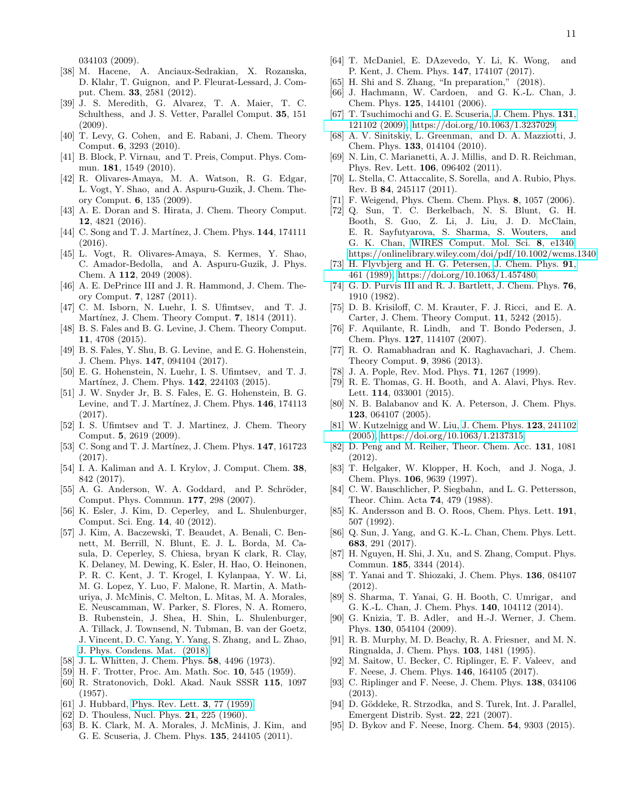034103 (2009).

- <span id="page-10-0"></span>[38] M. Hacene, A. Anciaux-Sedrakian, X. Rozanska, D. Klahr, T. Guignon, and P. Fleurat-Lessard, J. Comput. Chem. 33, 2581 (2012).
- <span id="page-10-1"></span>[39] J. S. Meredith, G. Alvarez, T. A. Maier, T. C. Schulthess, and J. S. Vetter, Parallel Comput. 35, 151 (2009).
- <span id="page-10-2"></span>[40] T. Levy, G. Cohen, and E. Rabani, J. Chem. Theory Comput. 6, 3293 (2010).
- <span id="page-10-3"></span>[41] B. Block, P. Virnau, and T. Preis, Comput. Phys. Commun. 181, 1549 (2010).
- <span id="page-10-4"></span>[42] R. Olivares-Amaya, M. A. Watson, R. G. Edgar, L. Vogt, Y. Shao, and A. Aspuru-Guzik, J. Chem. Theory Comput. 6, 135 (2009).
- [43] A. E. Doran and S. Hirata, J. Chem. Theory Comput. 12, 4821 (2016).
- [44] C. Song and T. J. Martínez, J. Chem. Phys. **144**, 174111 (2016).
- <span id="page-10-5"></span>[45] L. Vogt, R. Olivares-Amaya, S. Kermes, Y. Shao, C. Amador-Bedolla, and A. Aspuru-Guzik, J. Phys. Chem. A 112, 2049 (2008).
- <span id="page-10-6"></span>[46] A. E. DePrince III and J. R. Hammond, J. Chem. Theory Comput. 7, 1287 (2011).
- <span id="page-10-7"></span>[47] C. M. Isborn, N. Luehr, I. S. Ufimtsev, and T. J. Martínez, J. Chem. Theory Comput. 7, 1814 (2011).
- <span id="page-10-8"></span>[48] B. S. Fales and B. G. Levine, J. Chem. Theory Comput. 11, 4708 (2015).
- <span id="page-10-9"></span>[49] B. S. Fales, Y. Shu, B. G. Levine, and E. G. Hohenstein, J. Chem. Phys. 147, 094104 (2017).
- <span id="page-10-10"></span>[50] E. G. Hohenstein, N. Luehr, I. S. Ufimtsev, and T. J. Martínez, J. Chem. Phys. 142, 224103 (2015).
- <span id="page-10-11"></span>[51] J. W. Snyder Jr, B. S. Fales, E. G. Hohenstein, B. G. Levine, and T. J. Martínez, J. Chem. Phys.  $146$ , 174113  $(2017)$ .
- <span id="page-10-12"></span>[52] I. S. Ufimtsev and T. J. Martinez, J. Chem. Theory Comput. 5, 2619 (2009).
- <span id="page-10-13"></span>[53] C. Song and T. J. Martínez, J. Chem. Phys. **147**, 161723 (2017).
- <span id="page-10-14"></span>[54] I. A. Kaliman and A. I. Krylov, J. Comput. Chem. 38, 842 (2017).
- <span id="page-10-15"></span>[55] A. G. Anderson, W. A. Goddard, and P. Schröder, Comput. Phys. Commun. 177, 298 (2007).
- <span id="page-10-16"></span>[56] K. Esler, J. Kim, D. Ceperley, and L. Shulenburger, Comput. Sci. Eng. 14, 40 (2012).
- <span id="page-10-17"></span>[57] J. Kim, A. Baczewski, T. Beaudet, A. Benali, C. Bennett, M. Berrill, N. Blunt, E. J. L. Borda, M. Casula, D. Ceperley, S. Chiesa, bryan K clark, R. Clay, K. Delaney, M. Dewing, K. Esler, H. Hao, O. Heinonen, P. R. C. Kent, J. T. Krogel, I. Kylanpaa, Y. W. Li, M. G. Lopez, Y. Luo, F. Malone, R. Martin, A. Mathuriya, J. McMinis, C. Melton, L. Mitas, M. A. Morales, E. Neuscamman, W. Parker, S. Flores, N. A. Romero, B. Rubenstein, J. Shea, H. Shin, L. Shulenburger, A. Tillack, J. Townsend, N. Tubman, B. van der Goetz, J. Vincent, D. C. Yang, Y. Yang, S. Zhang, and L. Zhao, [J. Phys. Condens. Mat. \(2018\).](http://iopscience.iop.org/10.1088/1361-648X/aab9c3)
- <span id="page-10-18"></span>[58] J. L. Whitten, J. Chem. Phys. 58, 4496 (1973).
- <span id="page-10-19"></span>[59] H. F. Trotter, Proc. Am. Math. Soc. 10, 545 (1959).
- <span id="page-10-20"></span>[60] R. Stratonovich, Dokl. Akad. Nauk SSSR 115, 1097 (1957).
- <span id="page-10-21"></span>[61] J. Hubbard, [Phys. Rev. Lett.](http://dx.doi.org/10.1103/PhysRevLett.3.77) 3, 77 (1959).
- <span id="page-10-22"></span>[62] D. Thouless, Nucl. Phys. **21**, 225 (1960).
- <span id="page-10-23"></span>[63] B. K. Clark, M. A. Morales, J. McMinis, J. Kim, and G. E. Scuseria, J. Chem. Phys. 135, 244105 (2011).
- <span id="page-10-24"></span>[64] T. McDaniel, E. DAzevedo, Y. Li, K. Wong, and P. Kent, J. Chem. Phys. 147, 174107 (2017).
- <span id="page-10-25"></span>[65] H. Shi and S. Zhang, "In preparation," (2018).
- <span id="page-10-26"></span>[66] J. Hachmann, W. Cardoen, and G. K.-L. Chan, J. Chem. Phys. 125, 144101 (2006).
- [67] T. Tsuchimochi and G. E. Scuseria, [J. Chem. Phys.](http://dx.doi.org/10.1063/1.3237029) 131, [121102 \(2009\),](http://dx.doi.org/10.1063/1.3237029) [https://doi.org/10.1063/1.3237029.](http://arxiv.org/abs/https://doi.org/10.1063/1.3237029)
- [68] A. V. Sinitskiy, L. Greenman, and D. A. Mazziotti, J. Chem. Phys. 133, 014104 (2010).
- [69] N. Lin, C. Marianetti, A. J. Millis, and D. R. Reichman, Phys. Rev. Lett. 106, 096402 (2011).
- <span id="page-10-27"></span>[70] L. Stella, C. Attaccalite, S. Sorella, and A. Rubio, Phys. Rev. B 84, 245117 (2011).
- <span id="page-10-28"></span>[71] F. Weigend, Phys. Chem. Chem. Phys. 8, 1057 (2006).
- <span id="page-10-29"></span>[72] Q. Sun, T. C. Berkelbach, N. S. Blunt, G. H. Booth, S. Guo, Z. Li, J. Liu, J. D. McClain, E. R. Sayfutyarova, S. Sharma, S. Wouters, and G. K. Chan, [WIRES Comput. Mol. Sci.](http://dx.doi.org/ 10.1002/wcms.1340) 8, e1340, [https://onlinelibrary.wiley.com/doi/pdf/10.1002/wcms.1340.](http://arxiv.org/abs/https://onlinelibrary.wiley.com/doi/pdf/10.1002/wcms.1340)
- <span id="page-10-30"></span>[73] H. Flyvbjerg and H. G. Petersen, [J. Chem. Phys.](http://dx.doi.org/10.1063/1.457480) 91, [461 \(1989\),](http://dx.doi.org/10.1063/1.457480) [https://doi.org/10.1063/1.457480.](http://arxiv.org/abs/https://doi.org/10.1063/1.457480)
- <span id="page-10-31"></span>[74] G. D. Purvis III and R. J. Bartlett, J. Chem. Phys. **76**, 1910 (1982).
- <span id="page-10-32"></span>[75] D. B. Krisiloff, C. M. Krauter, F. J. Ricci, and E. A. Carter, J. Chem. Theory Comput. 11, 5242 (2015).
- <span id="page-10-33"></span>[76] F. Aquilante, R. Lindh, and T. Bondo Pedersen, J. Chem. Phys. 127, 114107 (2007).
- <span id="page-10-34"></span>[77] R. O. Ramabhadran and K. Raghavachari, J. Chem. Theory Comput. 9, 3986 (2013).
- <span id="page-10-35"></span>[78] J. A. Pople, Rev. Mod. Phys. **71**, 1267 (1999).
- <span id="page-10-40"></span>[79] R. E. Thomas, G. H. Booth, and A. Alavi, Phys. Rev. Lett. 114, 033001 (2015).
- <span id="page-10-36"></span>[80] N. B. Balabanov and K. A. Peterson, J. Chem. Phys. 123, 064107 (2005).
- <span id="page-10-37"></span>[81] W. Kutzelnigg and W. Liu, [J. Chem. Phys.](http://dx.doi.org/10.1063/1.2137315) 123, 241102 [\(2005\),](http://dx.doi.org/10.1063/1.2137315) [https://doi.org/10.1063/1.2137315.](http://arxiv.org/abs/https://doi.org/10.1063/1.2137315)
- <span id="page-10-38"></span>[82] D. Peng and M. Reiher, Theor. Chem. Acc. 131, 1081 (2012).
- <span id="page-10-39"></span>[83] T. Helgaker, W. Klopper, H. Koch, and J. Noga, J. Chem. Phys. 106, 9639 (1997).
- <span id="page-10-41"></span>[84] C. W. Bauschlicher, P. Siegbahn, and L. G. Pettersson, Theor. Chim. Acta 74, 479 (1988).
- <span id="page-10-42"></span>[85] K. Andersson and B. O. Roos, Chem. Phys. Lett. **191**, 507 (1992).
- <span id="page-10-43"></span>[86] Q. Sun, J. Yang, and G. K.-L. Chan, Chem. Phys. Lett. 683, 291 (2017).
- <span id="page-10-44"></span>[87] H. Nguyen, H. Shi, J. Xu, and S. Zhang, Comput. Phys. Commun. 185, 3344 (2014).
- <span id="page-10-45"></span>[88] T. Yanai and T. Shiozaki, J. Chem. Phys. 136, 084107 (2012).
- <span id="page-10-46"></span>[89] S. Sharma, T. Yanai, G. H. Booth, C. Umrigar, and G. K.-L. Chan, J. Chem. Phys. 140, 104112 (2014).
- <span id="page-10-47"></span>[90] G. Knizia, T. B. Adler, and H.-J. Werner, J. Chem. Phys. 130, 054104 (2009).
- <span id="page-10-48"></span>[91] R. B. Murphy, M. D. Beachy, R. A. Friesner, and M. N. Ringnalda, J. Chem. Phys. 103, 1481 (1995).
- [92] M. Saitow, U. Becker, C. Riplinger, E. F. Valeev, and F. Neese, J. Chem. Phys. 146, 164105 (2017).
- <span id="page-10-49"></span>[93] C. Riplinger and F. Neese, J. Chem. Phys. 138, 034106 (2013).
- <span id="page-10-50"></span>[94] D. Göddeke, R. Strzodka, and S. Turek, Int. J. Parallel, Emergent Distrib. Syst. 22, 221 (2007).
- <span id="page-10-51"></span>[95] D. Bykov and F. Neese, Inorg. Chem. 54, 9303 (2015).